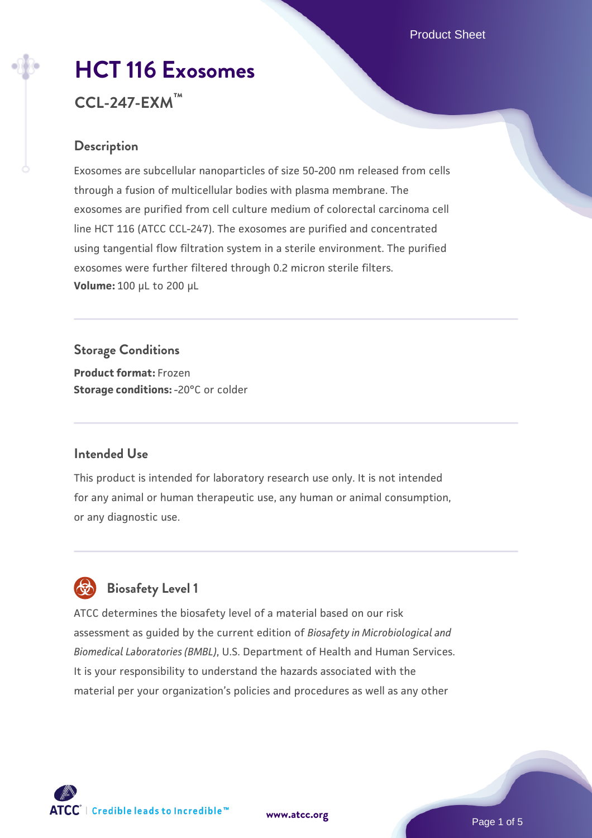# **[HCT 116 Exosomes](https://www.atcc.org/products/ccl-247-exm) CCL-247-EXM™**

## **Description**

Exosomes are subcellular nanoparticles of size 50-200 nm released from cells through a fusion of multicellular bodies with plasma membrane. The exosomes are purified from cell culture medium of colorectal carcinoma cell line HCT 116 (ATCC CCL-247). The exosomes are purified and concentrated using tangential flow filtration system in a sterile environment. The purified exosomes were further filtered through 0.2 micron sterile filters. **Volume:** 100 µL to 200 µL

**Storage Conditions Product format:** Frozen **Storage conditions: -20°C or colder** 

#### **Intended Use**

This product is intended for laboratory research use only. It is not intended for any animal or human therapeutic use, any human or animal consumption, or any diagnostic use.



# **Biosafety Level 1**

ATCC determines the biosafety level of a material based on our risk assessment as guided by the current edition of *Biosafety in Microbiological and Biomedical Laboratories (BMBL)*, U.S. Department of Health and Human Services. It is your responsibility to understand the hazards associated with the material per your organization's policies and procedures as well as any other



**[www.atcc.org](http://www.atcc.org)**

Page 1 of 5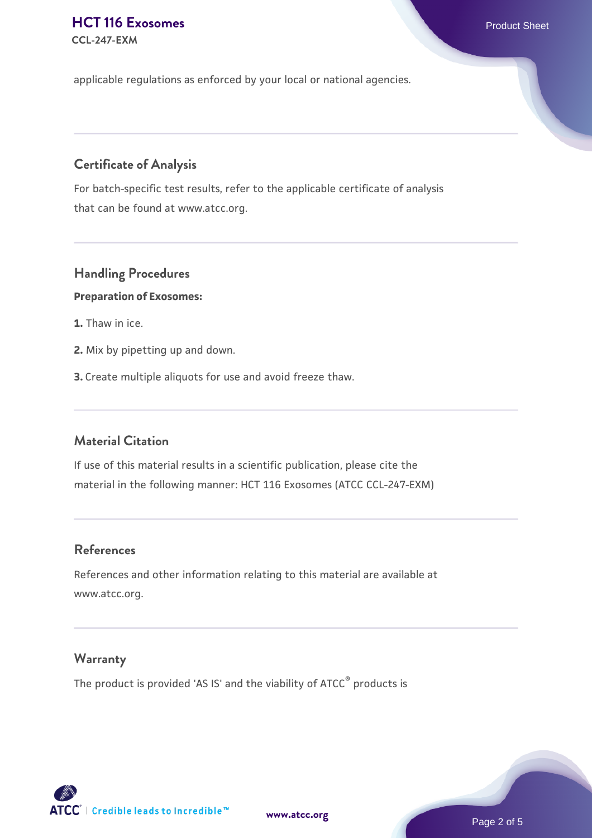#### **[HCT 116 Exosomes](https://www.atcc.org/products/ccl-247-exm) Product Sheet CCL-247-EXM**

applicable regulations as enforced by your local or national agencies.

## **Certificate of Analysis**

For batch-specific test results, refer to the applicable certificate of analysis that can be found at www.atcc.org.

## **Handling Procedures**

#### **Preparation of Exosomes:**

- **1.** Thaw in ice.
- **2.** Mix by pipetting up and down.
- **3.** Create multiple aliquots for use and avoid freeze thaw.

#### **Material Citation**

If use of this material results in a scientific publication, please cite the material in the following manner: HCT 116 Exosomes (ATCC CCL-247-EXM)

#### **References**

References and other information relating to this material are available at www.atcc.org.

### **Warranty**

The product is provided 'AS IS' and the viability of ATCC® products is

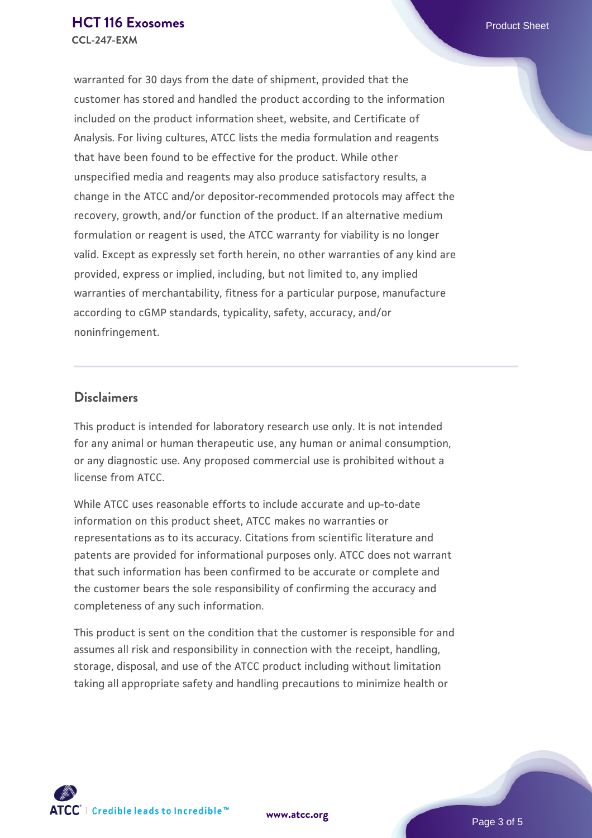warranted for 30 days from the date of shipment, provided that the customer has stored and handled the product according to the information included on the product information sheet, website, and Certificate of Analysis. For living cultures, ATCC lists the media formulation and reagents that have been found to be effective for the product. While other unspecified media and reagents may also produce satisfactory results, a change in the ATCC and/or depositor-recommended protocols may affect the recovery, growth, and/or function of the product. If an alternative medium formulation or reagent is used, the ATCC warranty for viability is no longer valid. Except as expressly set forth herein, no other warranties of any kind are provided, express or implied, including, but not limited to, any implied warranties of merchantability, fitness for a particular purpose, manufacture according to cGMP standards, typicality, safety, accuracy, and/or noninfringement.

#### **Disclaimers**

This product is intended for laboratory research use only. It is not intended for any animal or human therapeutic use, any human or animal consumption, or any diagnostic use. Any proposed commercial use is prohibited without a license from ATCC.

While ATCC uses reasonable efforts to include accurate and up-to-date information on this product sheet, ATCC makes no warranties or representations as to its accuracy. Citations from scientific literature and patents are provided for informational purposes only. ATCC does not warrant that such information has been confirmed to be accurate or complete and the customer bears the sole responsibility of confirming the accuracy and completeness of any such information.

This product is sent on the condition that the customer is responsible for and assumes all risk and responsibility in connection with the receipt, handling, storage, disposal, and use of the ATCC product including without limitation taking all appropriate safety and handling precautions to minimize health or



**[www.atcc.org](http://www.atcc.org)**

Page 3 of 5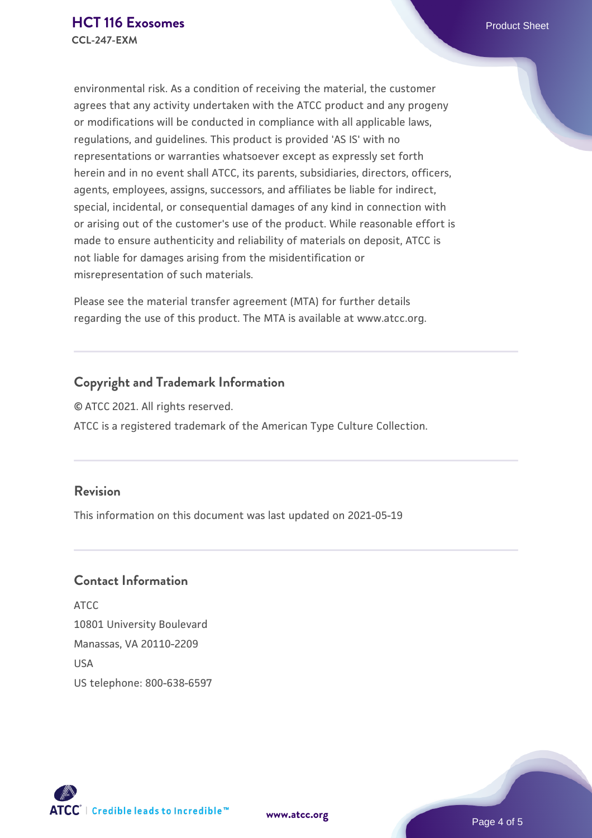environmental risk. As a condition of receiving the material, the customer agrees that any activity undertaken with the ATCC product and any progeny or modifications will be conducted in compliance with all applicable laws, regulations, and guidelines. This product is provided 'AS IS' with no representations or warranties whatsoever except as expressly set forth herein and in no event shall ATCC, its parents, subsidiaries, directors, officers, agents, employees, assigns, successors, and affiliates be liable for indirect, special, incidental, or consequential damages of any kind in connection with or arising out of the customer's use of the product. While reasonable effort is made to ensure authenticity and reliability of materials on deposit, ATCC is not liable for damages arising from the misidentification or misrepresentation of such materials.

Please see the material transfer agreement (MTA) for further details regarding the use of this product. The MTA is available at www.atcc.org.

### **Copyright and Trademark Information**

© ATCC 2021. All rights reserved. ATCC is a registered trademark of the American Type Culture Collection.

#### **Revision**

This information on this document was last updated on 2021-05-19

#### **Contact Information**

ATCC 10801 University Boulevard Manassas, VA 20110-2209 **IISA** US telephone: 800-638-6597